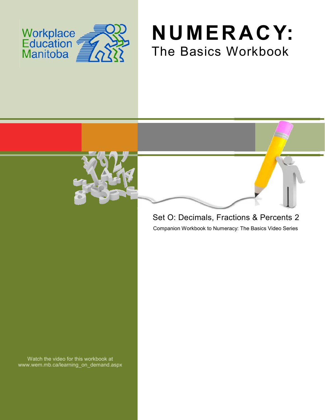

## **NUMERACY:** The Basics Workbook



## Set O: Decimals, Fractions & Percents 2

Companion Workbook to Numeracy: The Basics Video Series

Watch the video for this workbook at www.wem.mb.ca/learning\_on\_demand.aspx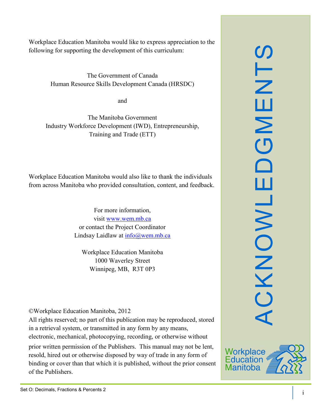SLN ACKNOWLEDGMENTS ш  $\mathsf{z}$  $\overline{O}$  $\Box$ ш CKNOWL

Workplace Education Manitoba would like to express appreciation to the following for supporting the development of this curriculum:

> The Government of Canada Human Resource Skills Development Canada (HRSDC)

> > and

The Manitoba Government Industry Workforce Development (IWD), Entrepreneurship, Training and Trade (ETT)

Workplace Education Manitoba would also like to thank the individuals from across Manitoba who provided consultation, content, and feedback.

> For more information, visit [www.wem.mb.ca](http://www.wem.mb.ca/) or contact the Project Coordinator Lindsay Laidlaw at [info@wem.mb.ca](mailto:info@wem.mb.ca)

Workplace Education Manitoba 1000 Waverley Street Winnipeg, MB, R3T 0P3

©Workplace Education Manitoba, 2012

All rights reserved; no part of this publication may be reproduced, stored in a retrieval system, or transmitted in any form by any means, electronic, mechanical, photocopying, recording, or otherwise without

prior written permission of the Publishers. This manual may not be lent, resold, hired out or otherwise disposed by way of trade in any form of binding or cover than that which it is published, without the prior consent of the Publishers.

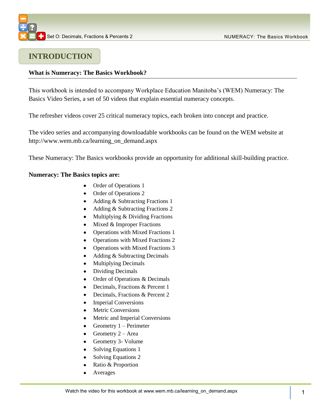### **INTRODUCTION**

### **What is Numeracy: The Basics Workbook?**

This workbook is intended to accompany Workplace Education Manitoba's (WEM) Numeracy: The Basics Video Series, a set of 50 videos that explain essential numeracy concepts.

The refresher videos cover 25 critical numeracy topics, each broken into concept and practice.

The video series and accompanying downloadable workbooks can be found on the WEM website at [http://www.wem.mb.ca/learning\\_on\\_demand.aspx](http://www.wem.mb.ca/learning_on_demand.aspx)

These Numeracy: The Basics workbooks provide an opportunity for additional skill-building practice.

### **Numeracy: The Basics topics are:**

- Order of Operations 1
- Order of Operations 2
- Adding & Subtracting Fractions 1
- Adding & Subtracting Fractions 2
- $\bullet$ Multiplying & Dividing Fractions
- $\bullet$  Mixed & Improper Fractions
- Operations with Mixed Fractions 1  $\bullet$
- Operations with Mixed Fractions 2
- Operations with Mixed Fractions 3
- $\bullet$ Adding & Subtracting Decimals
- Multiplying Decimals  $\bullet$
- Dividing Decimals  $\bullet$
- Order of Operations & Decimals  $\bullet$
- Decimals, Fractions & Percent 1  $\bullet$
- Decimals, Fractions & Percent 2  $\bullet$
- Imperial Conversions
- Metric Conversions
- Metric and Imperial Conversions
- Geometry 1 Perimeter  $\bullet$
- Geometry  $2 Area$
- Geometry 3- Volume
- Solving Equations 1
- $\bullet$ Solving Equations 2
- Ratio & Proportion  $\bullet$
- Averages  $\bullet$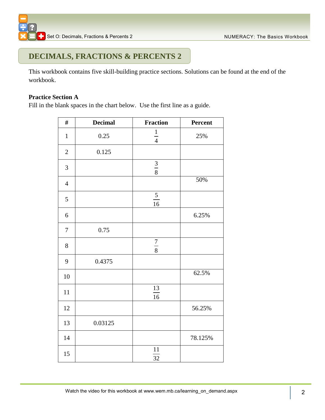### **DECIMALS, FRACTIONS & PERCENTS 2**

This workbook contains five skill-building practice sections. Solutions can be found at the end of the workbook.

### **Practice Section A**

Fill in the blank spaces in the chart below. Use the first line as a guide.

| $\#$             | <b>Decimal</b> | <b>Fraction</b>       | Percent |
|------------------|----------------|-----------------------|---------|
| $\mathbf{1}$     | 0.25           | $\frac{1}{4}$         | 25%     |
| $\sqrt{2}$       | 0.125          |                       |         |
| 3                |                | $\frac{3}{8}$         |         |
| $\overline{4}$   |                |                       | 50%     |
| 5                |                | $\frac{5}{16}$        |         |
| $\boldsymbol{6}$ |                |                       | 6.25%   |
| $\boldsymbol{7}$ | 0.75           |                       |         |
| 8                |                | $\frac{7}{8}$         |         |
| 9                | 0.4375         |                       |         |
| 10               |                |                       | 62.5%   |
| 11               |                | 13<br>$\overline{16}$ |         |
| 12               |                |                       | 56.25%  |
| 13               | 0.03125        |                       |         |
| 14               |                |                       | 78.125% |
| 15               |                | 11<br>32              |         |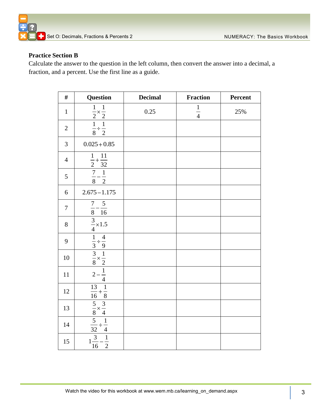

### **Practice Section B**

Calculate the answer to the question in the left column, then convert the answer into a decimal, a fraction, and a percent. Use the first line as a guide.

| $\#$           | <b>Question</b>                                                                                        | <b>Decimal</b> | <b>Fraction</b> | Percent |
|----------------|--------------------------------------------------------------------------------------------------------|----------------|-----------------|---------|
| $\mathbf{1}$   | $rac{1}{2} \times \frac{1}{2}$                                                                         | 0.25           | $\frac{1}{4}$   | 25%     |
| $\mathbf{2}$   | $\frac{1}{8} \div \frac{1}{2}$                                                                         |                |                 |         |
| $\mathfrak{Z}$ | $0.025 + 0.85$                                                                                         |                |                 |         |
| $\overline{4}$ | $\frac{\frac{1}{2} + \frac{11}{32}}{\frac{7}{8} - \frac{1}{2}}$                                        |                |                 |         |
| 5              |                                                                                                        |                |                 |         |
| 6              | $2.675 - 1.175$                                                                                        |                |                 |         |
| $\tau$         | $\overline{7}$<br>$5\overline{)}$<br>$\frac{1}{8} - \frac{1}{16}$                                      |                |                 |         |
| $8\,$          | $\frac{3}{4} \times 1.5$                                                                               |                |                 |         |
| 9              |                                                                                                        |                |                 |         |
| 10             | $rac{1}{3} \div \frac{4}{9}$<br>$rac{3}{8} \times \frac{1}{2}$<br>$2 - \frac{1}{4}$                    |                |                 |         |
| 11             |                                                                                                        |                |                 |         |
| 12             |                                                                                                        |                |                 |         |
| 13             |                                                                                                        |                |                 |         |
| 14             | $\frac{\frac{4}{13} + \frac{1}{8}}{\frac{5}{8} \times \frac{3}{4}}$<br>$\frac{5}{32} \div \frac{1}{4}$ |                |                 |         |
| 15             | $\frac{1}{2}$<br>$\frac{3}{16}$                                                                        |                |                 |         |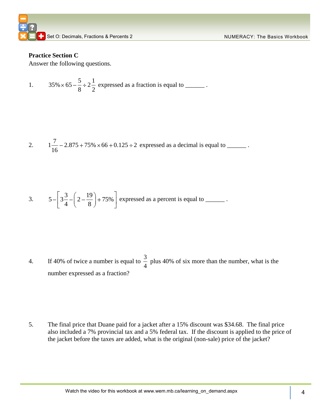

### **Practice Section C**

Answer the following questions.

1. 
$$
35\% \times 65 - \frac{5}{8} \div 2\frac{1}{2}
$$
 expressed as a fraction is equal to \_\_\_\_\_\_\_.

2. 
$$
1\frac{7}{16} - 2.875 + 75\% \times 66 + 0.125 \div 2
$$
 expressed as a decimal is equal to \_\_\_\_\_\_\_.

3. 
$$
5 - \left[ 3 \frac{3}{4} - \left( 2 - \frac{19}{8} \right) + 75\% \right]
$$
 expressed as a percent is equal to \_\_\_\_\_\_\_.

4. If 40% of twice a number is equal to  $\frac{3}{7}$ 4 plus 40% of six more than the number, what is the number expressed as a fraction?

5. The final price that Duane paid for a jacket after a 15% discount was \$34.68. The final price also included a 7% provincial tax and a 5% federal tax. If the discount is applied to the price of the jacket before the taxes are added, what is the original (non-sale) price of the jacket?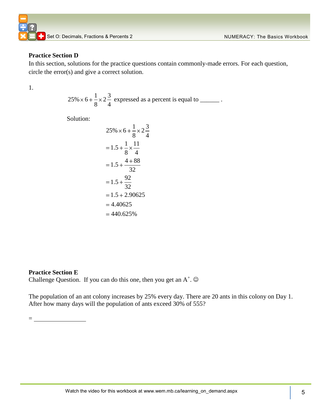### **Practice Section D**

In this section, solutions for the practice questions contain commonly-made errors. For each question, circle the error(s) and give a correct solution.

1.

$$
25\% \times 6 + \frac{1}{8} \times 2\frac{3}{4}
$$
 expressed as a percent is equal to \_\_\_\_\_\_\_.

Solution:

$$
25\% \times 6 + \frac{1}{8} \times 2\frac{3}{4}
$$
  
= 1.5 +  $\frac{1}{8} \times \frac{11}{4}$   
= 1.5 +  $\frac{4 + 88}{32}$   
= 1.5 +  $\frac{92}{32}$   
= 1.5 + 2.90625  
= 4.40625  
= 440.625%

### **Practice Section E**

 $=$   $-$ 

Challenge Question. If you can do this one, then you get an  $A^+$ .  $\odot$ 

The population of an ant colony increases by 25% every day. There are 20 ants in this colony on Day 1. After how many days will the population of ants exceed 30% of 555?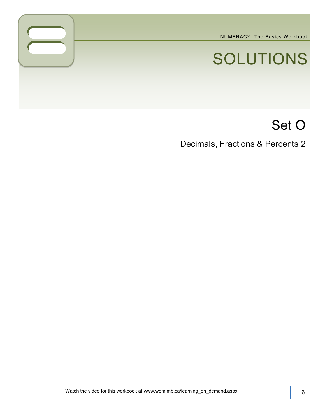NUMERACY: The Basics Workbook

# SOLUTIONS

## Set O

Decimals, Fractions & Percents 2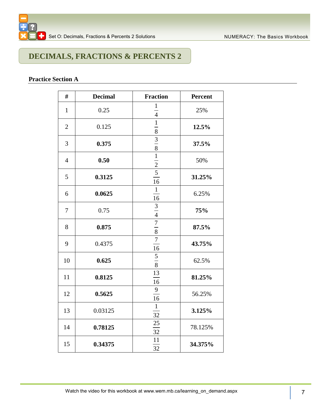

## **DECIMALS, FRACTIONS & PERCENTS 2**

### **Practice Section A**

| #              | <b>Decimal</b> | <b>Fraction</b>                                                                                   | Percent |
|----------------|----------------|---------------------------------------------------------------------------------------------------|---------|
| $\mathbf{1}$   | 0.25           |                                                                                                   | 25%     |
| $\overline{2}$ | 0.125          | $\frac{1}{4}$ $\frac{4}{1}$ $\frac{1}{8}$ $\frac{8}{1}$ $\frac{8}{1}$ $\frac{1}{2}$ $\frac{2}{5}$ | 12.5%   |
| 3              | 0.375          |                                                                                                   | 37.5%   |
| $\overline{4}$ | 0.50           |                                                                                                   | 50%     |
| 5              | 0.3125         | $\frac{1}{16}$                                                                                    | 31.25%  |
| 6              | 0.0625         | $\,1$<br>16                                                                                       | 6.25%   |
| 7              | 0.75           | $\frac{3}{4}$ $\frac{4}{7}$ $\frac{8}{8}$                                                         | 75%     |
| 8              | 0.875          |                                                                                                   | 87.5%   |
| 9              | 0.4375         | $\overline{7}$<br>16                                                                              | 43.75%  |
| 10             | 0.625          | $\frac{5}{8}$                                                                                     | 62.5%   |
| 11             | 0.8125         | 13<br>16                                                                                          | 81.25%  |
| 12             | 0.5625         | 9<br>16                                                                                           | 56.25%  |
| 13             | 0.03125        | $\mathbf{1}$<br>32                                                                                | 3.125%  |
| 14             | 0.78125        | 25<br>32                                                                                          | 78.125% |
| 15             | 0.34375        | 11<br>32                                                                                          | 34.375% |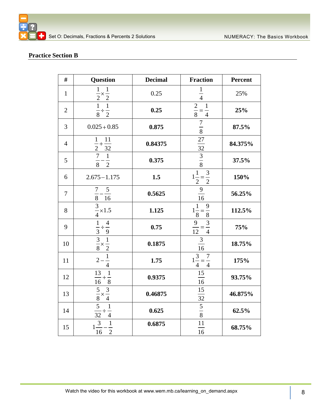### **Practice Section B**

| $\#$           | <b>Question</b>                                                       | <b>Decimal</b> | <b>Fraction</b>                                         | Percent |
|----------------|-----------------------------------------------------------------------|----------------|---------------------------------------------------------|---------|
| $\mathbf{1}$   | $rac{1}{2} \times \frac{1}{2}$                                        | 0.25           | $\frac{1}{4}$                                           | 25%     |
| $\mathbf{2}$   | $\frac{1}{8}$<br>$\,1\,$<br>$\frac{1}{2}$                             | 0.25           | $\frac{2}{8} = \frac{1}{4}$                             | 25%     |
| $\overline{3}$ | $0.025 + 0.85$                                                        | 0.875          | $\frac{7}{8}$                                           | 87.5%   |
| $\overline{4}$ | $\mathbf{1}$<br>11<br>$+$<br>$\frac{1}{2}$<br>32                      | 0.84375        | $27\,$<br>$\overline{32}$                               | 84.375% |
| 5              | $\boldsymbol{7}$<br>$\overline{1}$<br>$\frac{1}{2}$<br>$\overline{8}$ | 0.375          | $\frac{3}{8}$                                           | 37.5%   |
| 6              | $2.675 - 1.175$                                                       | 1.5            | $1\frac{1}{2} = \frac{3}{2}$                            | 150%    |
| $\overline{7}$ | $\mathfrak{S}$<br>7<br>8<br>16                                        | 0.5625         | 9<br>16                                                 | 56.25%  |
| 8              | $\frac{3}{2}$ × 1.5<br>$\overline{4}$                                 | 1.125          | $1\frac{1}{8} = \frac{9}{8}$                            | 112.5%  |
| 9              |                                                                       | 0.75           | $\ensuremath{\mathfrak{Z}}$<br>9<br>$\frac{1}{4}$<br>12 | 75%     |
| 10             | $\frac{1}{3} \div \frac{4}{9}$ $\frac{3}{8} \times \frac{1}{2}$       | 0.1875         | $\mathfrak{Z}$<br>16                                    | 18.75%  |
| 11             | $\frac{1}{4}$<br>$2-$                                                 | 1.75           | $\frac{1}{1\frac{3}{4}} = \frac{7}{4}$                  | 175%    |
| 12             | $\frac{13}{16} + \frac{1}{8}$                                         | 0.9375         | 15<br>$\overline{16}$                                   | 93.75%  |
| 13             | $\frac{5}{8} \times \frac{3}{4}$                                      | 0.46875        | $\frac{15}{1}$                                          | 46.875% |
| 14             | $\overline{5}$<br>$\frac{1}{4}$<br>$\overline{32}$                    | 0.625          | $\frac{1}{\frac{32}{8}}$                                | 62.5%   |
| 15             | $\frac{3}{16}$<br>$\frac{1}{2}$                                       | 0.6875         | $\frac{11}{16}$                                         | 68.75%  |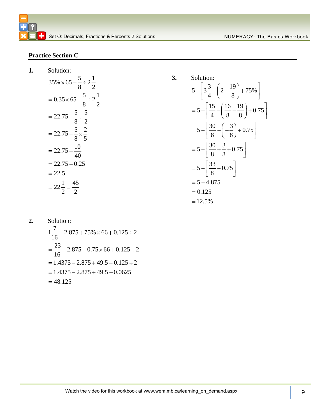### **Practice Section C**

**1.** Solution:

Solution:  
\n
$$
35\% \times 65 - \frac{5}{8} \div 2\frac{1}{2}
$$
\n
$$
= 0.35 \times 65 - \frac{5}{8} \div 2\frac{1}{2}
$$
\n
$$
= 22.75 - \frac{5}{8} \div \frac{5}{2}
$$
\n
$$
= 22.75 - \frac{5}{8} \times \frac{2}{5}
$$
\n
$$
= 22.75 - \frac{10}{40}
$$
\n
$$
= 22.75 - 0.25
$$
\n
$$
= 22.5
$$
\n
$$
= 22\frac{1}{2} = \frac{45}{2}
$$

Solution:  
\n
$$
5 - \left[3\frac{3}{4} - \left(2 - \frac{19}{8}\right) + 75\% \right]
$$
\n
$$
= 5 - \left[\frac{15}{4} - \left(\frac{16}{8} - \frac{19}{8}\right) + 0.75 \right]
$$
\n
$$
= 5 - \left[\frac{30}{8} - \left(-\frac{3}{8}\right) + 0.75 \right]
$$
\n
$$
= 5 - \left[\frac{30}{8} + \frac{3}{8} + 0.75 \right]
$$
\n
$$
= 5 - \left[\frac{33}{8} + 0.75 \right]
$$
\n
$$
= 5 - 4.875
$$
\n
$$
= 0.125
$$
\n
$$
= 12.5\%
$$

**3.** Solution:

**2.** Solution:  $1\frac{7}{16} - 2.875 + 75\% \times 66 + 0.125 \div 2$  $\frac{23}{16}$  – 2.875 + 0.75 × 66 + 0.125 ÷ 2  $= 1.4375 - 2.875 + 49.5 + 0.125 \div 2$  $= 1.4375 - 2.875 + 49.5 - 0.0625$  $= 48.125$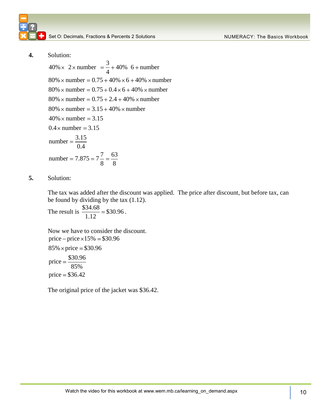Set O: Decimals, Fractions & Percents 2 Solutions Numer Action 2 NUMERACY: The Basics Workbook

**4.** Solution:

3 Solution:<br>  $40\% \times 2 \times$  number =  $\frac{3}{4} + 40\%$  6 + number<br>  $80\% \times$  number = 0.75 + 40% × 6 + 40% × number  $80\% \times$  number = 0.75 + 40%  $\times$  6 + 40%  $\times$  number<br> $80\% \times$  number = 0.75 + 0.4  $\times$  6 + 40%  $\times$  number  $80\% \times$  number = 0.75 + 0.4  $\times$  6 + 40%  $\times$  num<br> $80\% \times$  number = 0.75 + 2.4 + 40%  $\times$  number  $80\% \times$  number = 0.75 + 2.4 + 40%  $\times$  number<br> $80\% \times$  number = 3.15 + 40%  $\times$  number  $80\% \times$  number = 3.15 + 40%  $\times$  number  $40\% \times$  number = 3.15<br>0.4  $\times$  number = 3.15 number  $=\frac{3.15}{2.1}$ 0.4 number =  $\frac{x}{0.4}$ <br>number = 7.875 = 7 $\frac{7}{8}$  =  $\frac{63}{8}$  $\frac{7}{8} = \frac{63}{8}$ 

**5.** Solution:

The tax was added after the discount was applied. The price after discount, but before tax, can be found by dividing by the tax (1.12).

The result is  $\frac{$34.68}{1.12} = $30.96$ 1.12 .

Now we have to consider the discount. price  $-\text{price} \times 15\% = $30.96$  $85\% \times \text{price} = $30.96$ price  $=$   $\frac{$30.96}{250}$ 85% price  $= $36.42$ 

The original price of the jacket was \$36.42.